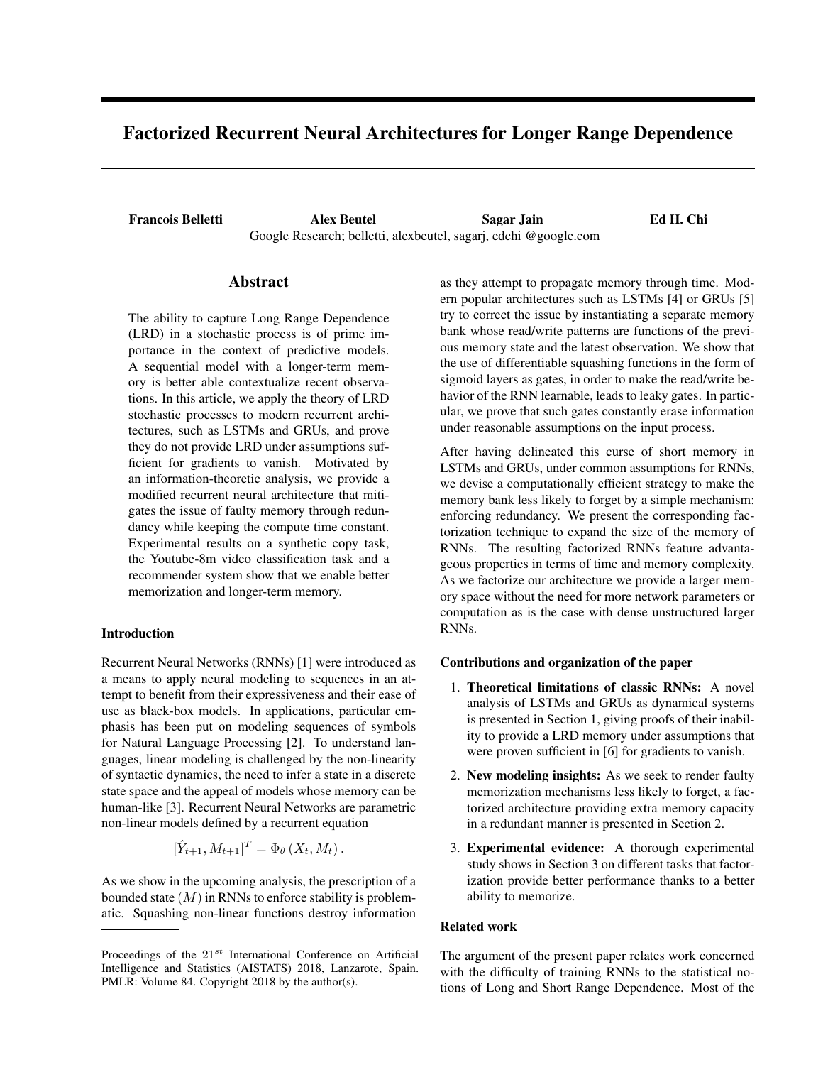# Factorized Recurrent Neural Architectures for Longer Range Dependence

Francois Belletti Alex Beutel Sagar Jain Ed H. Chi Google Research; belletti, alexbeutel, sagarj, edchi @google.com

## Abstract

The ability to capture Long Range Dependence (LRD) in a stochastic process is of prime importance in the context of predictive models. A sequential model with a longer-term memory is better able contextualize recent observations. In this article, we apply the theory of LRD stochastic processes to modern recurrent architectures, such as LSTMs and GRUs, and prove they do not provide LRD under assumptions sufficient for gradients to vanish. Motivated by an information-theoretic analysis, we provide a modified recurrent neural architecture that mitigates the issue of faulty memory through redundancy while keeping the compute time constant. Experimental results on a synthetic copy task, the Youtube-8m video classification task and a recommender system show that we enable better memorization and longer-term memory.

## Introduction

Recurrent Neural Networks (RNNs) [1] were introduced as a means to apply neural modeling to sequences in an attempt to benefit from their expressiveness and their ease of use as black-box models. In applications, particular emphasis has been put on modeling sequences of symbols for Natural Language Processing [2]. To understand languages, linear modeling is challenged by the non-linearity of syntactic dynamics, the need to infer a state in a discrete state space and the appeal of models whose memory can be human-like [3]. Recurrent Neural Networks are parametric non-linear models defined by a recurrent equation

$$
[\hat{Y}_{t+1}, M_{t+1}]^T = \Phi_{\theta}(X_t, M_t).
$$

As we show in the upcoming analysis, the prescription of a bounded state (*M*) in RNNs to enforce stability is problematic. Squashing non-linear functions destroy information

as they attempt to propagate memory through time. Modern popular architectures such as LSTMs [4] or GRUs [5] try to correct the issue by instantiating a separate memory bank whose read/write patterns are functions of the previous memory state and the latest observation. We show that the use of differentiable squashing functions in the form of sigmoid layers as gates, in order to make the read/write behavior of the RNN learnable, leads to leaky gates. In particular, we prove that such gates constantly erase information under reasonable assumptions on the input process.

After having delineated this curse of short memory in LSTMs and GRUs, under common assumptions for RNNs, we devise a computationally efficient strategy to make the memory bank less likely to forget by a simple mechanism: enforcing redundancy. We present the corresponding factorization technique to expand the size of the memory of RNNs. The resulting factorized RNNs feature advantageous properties in terms of time and memory complexity. As we factorize our architecture we provide a larger memory space without the need for more network parameters or computation as is the case with dense unstructured larger RNNs.

## Contributions and organization of the paper

- 1. Theoretical limitations of classic RNNs: A novel analysis of LSTMs and GRUs as dynamical systems is presented in Section 1, giving proofs of their inability to provide a LRD memory under assumptions that were proven sufficient in [6] for gradients to vanish.
- 2. New modeling insights: As we seek to render faulty memorization mechanisms less likely to forget, a factorized architecture providing extra memory capacity in a redundant manner is presented in Section 2.
- 3. Experimental evidence: A thorough experimental study shows in Section 3 on different tasks that factorization provide better performance thanks to a better ability to memorize.

## Related work

The argument of the present paper relates work concerned with the difficulty of training RNNs to the statistical notions of Long and Short Range Dependence. Most of the

Proceedings of the 21*st* International Conference on Artificial Intelligence and Statistics (AISTATS) 2018, Lanzarote, Spain. PMLR: Volume 84. Copyright 2018 by the author(s).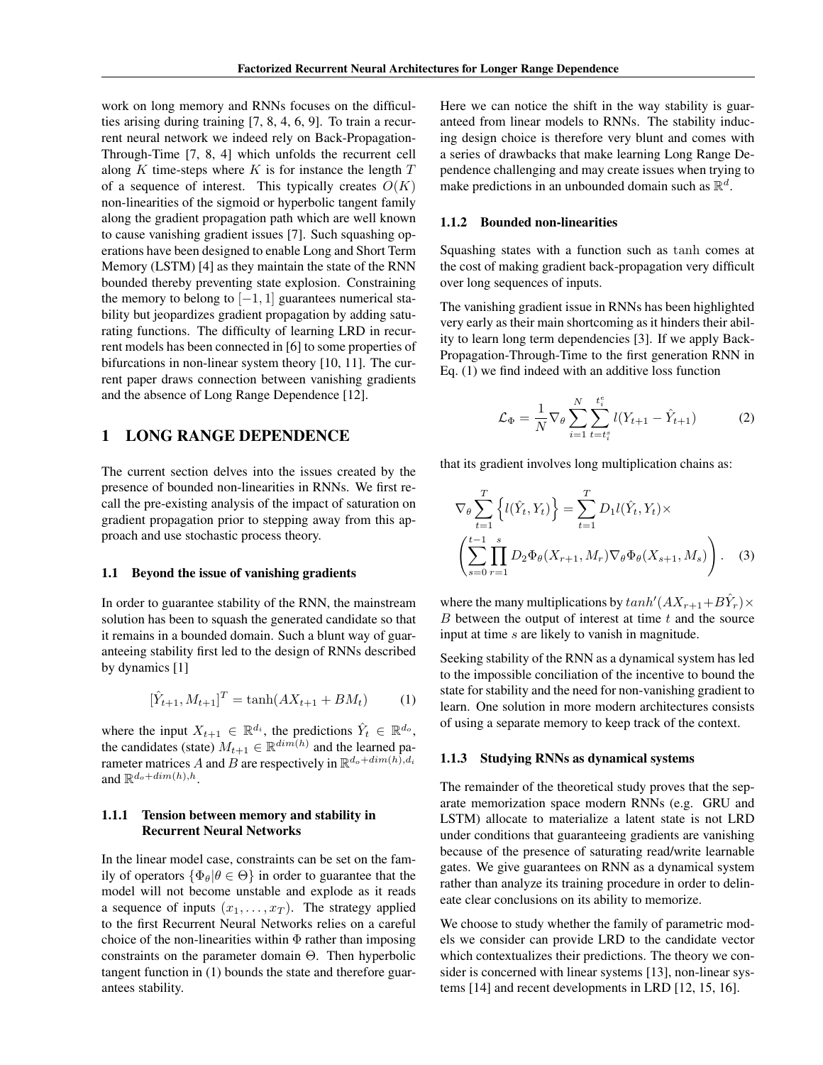work on long memory and RNNs focuses on the difficulties arising during training [7, 8, 4, 6, 9]. To train a recurrent neural network we indeed rely on Back-Propagation-Through-Time [7, 8, 4] which unfolds the recurrent cell along *K* time-steps where *K* is for instance the length *T* of a sequence of interest. This typically creates  $O(K)$ non-linearities of the sigmoid or hyperbolic tangent family along the gradient propagation path which are well known to cause vanishing gradient issues [7]. Such squashing operations have been designed to enable Long and Short Term Memory (LSTM) [4] as they maintain the state of the RNN bounded thereby preventing state explosion. Constraining the memory to belong to  $[-1, 1]$  guarantees numerical stability but jeopardizes gradient propagation by adding saturating functions. The difficulty of learning LRD in recurrent models has been connected in [6] to some properties of bifurcations in non-linear system theory [10, 11]. The current paper draws connection between vanishing gradients and the absence of Long Range Dependence [12].

## 1 LONG RANGE DEPENDENCE

The current section delves into the issues created by the presence of bounded non-linearities in RNNs. We first recall the pre-existing analysis of the impact of saturation on gradient propagation prior to stepping away from this approach and use stochastic process theory.

#### 1.1 Beyond the issue of vanishing gradients

In order to guarantee stability of the RNN, the mainstream solution has been to squash the generated candidate so that it remains in a bounded domain. Such a blunt way of guaranteeing stability first led to the design of RNNs described by dynamics [1]

$$
[\hat{Y}_{t+1}, M_{t+1}]^T = \tanh(AX_{t+1} + BM_t) \tag{1}
$$

where the input  $X_{t+1} \in \mathbb{R}^{d_i}$ , the predictions  $\hat{Y}_t \in \mathbb{R}^{d_o}$ , the candidates (state)  $M_{t+1} \in \mathbb{R}^{dim(h)}$  and the learned parameter matrices *A* and *B* are respectively in  $\mathbb{R}^{d_o + dim(h)}$ , *d*<sup>*i*</sup> and  $\mathbb{R}^{d_o+dim(h),h}$ .

## 1.1.1 Tension between memory and stability in Recurrent Neural Networks

In the linear model case, constraints can be set on the family of operators  $\{\Phi_{\theta}|\theta \in \Theta\}$  in order to guarantee that the model will not become unstable and explode as it reads a sequence of inputs  $(x_1, \ldots, x_T)$ . The strategy applied to the first Recurrent Neural Networks relies on a careful choice of the non-linearities within  $\Phi$  rather than imposing constraints on the parameter domain  $\Theta$ . Then hyperbolic tangent function in (1) bounds the state and therefore guarantees stability.

Here we can notice the shift in the way stability is guaranteed from linear models to RNNs. The stability inducing design choice is therefore very blunt and comes with a series of drawbacks that make learning Long Range Dependence challenging and may create issues when trying to make predictions in an unbounded domain such as  $\mathbb{R}^d$ .

## 1.1.2 Bounded non-linearities

Squashing states with a function such as tanh comes at the cost of making gradient back-propagation very difficult over long sequences of inputs.

The vanishing gradient issue in RNNs has been highlighted very early as their main shortcoming as it hinders their ability to learn long term dependencies [3]. If we apply Back-Propagation-Through-Time to the first generation RNN in Eq. (1) we find indeed with an additive loss function

$$
\mathcal{L}_{\Phi} = \frac{1}{N} \nabla_{\theta} \sum_{i=1}^{N} \sum_{t=t_i^s}^{t_i^e} l(Y_{t+1} - \hat{Y}_{t+1})
$$
(2)

that its gradient involves long multiplication chains as:

$$
\nabla_{\theta} \sum_{t=1}^{T} \left\{ l(\hat{Y}_t, Y_t) \right\} = \sum_{t=1}^{T} D_1 l(\hat{Y}_t, Y_t) \times \left( \sum_{s=0}^{t-1} \prod_{r=1}^{s} D_2 \Phi_{\theta}(X_{r+1}, M_r) \nabla_{\theta} \Phi_{\theta}(X_{s+1}, M_s) \right). \tag{3}
$$

where the many multiplications by  $tanh'(AX_{r+1}+B\hat{Y}_r)\times$ *B* between the output of interest at time *t* and the source input at time *s* are likely to vanish in magnitude.

Seeking stability of the RNN as a dynamical system has led to the impossible conciliation of the incentive to bound the state for stability and the need for non-vanishing gradient to learn. One solution in more modern architectures consists of using a separate memory to keep track of the context.

#### 1.1.3 Studying RNNs as dynamical systems

The remainder of the theoretical study proves that the separate memorization space modern RNNs (e.g. GRU and LSTM) allocate to materialize a latent state is not LRD under conditions that guaranteeing gradients are vanishing because of the presence of saturating read/write learnable gates. We give guarantees on RNN as a dynamical system rather than analyze its training procedure in order to delineate clear conclusions on its ability to memorize.

We choose to study whether the family of parametric models we consider can provide LRD to the candidate vector which contextualizes their predictions. The theory we consider is concerned with linear systems [13], non-linear systems [14] and recent developments in LRD [12, 15, 16].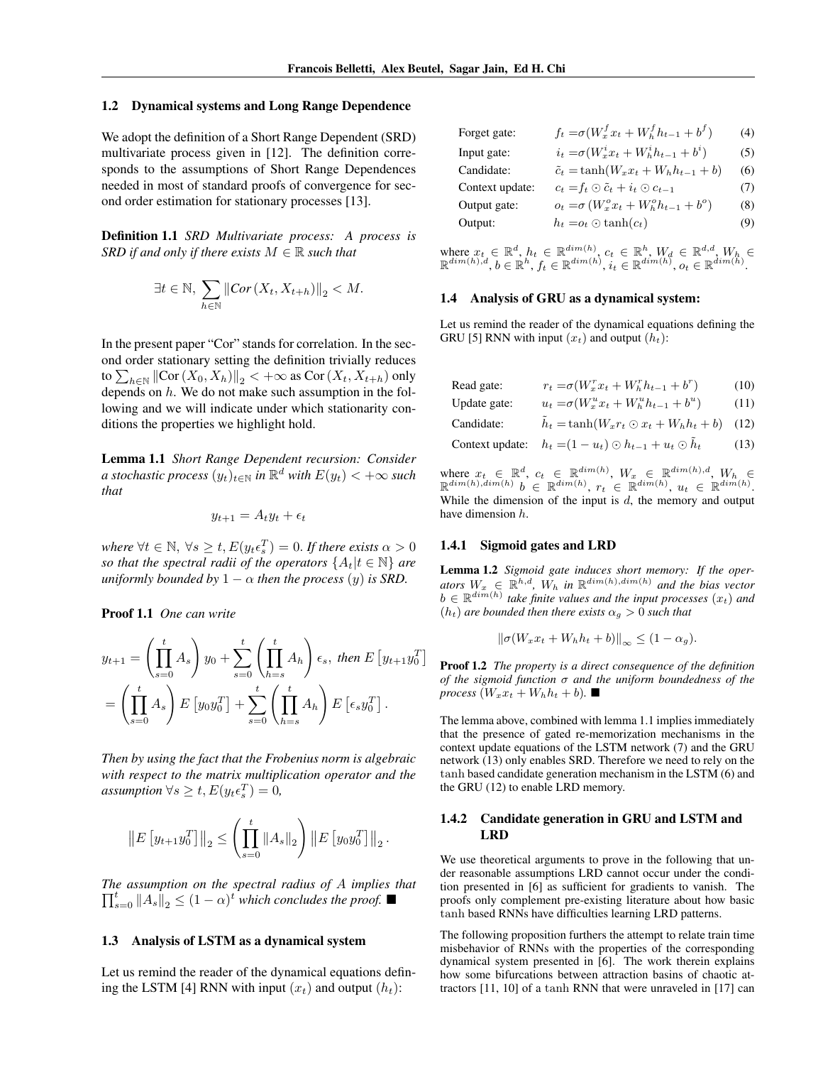$\overline{\phantom{a}}$ 

#### 1.2 Dynamical systems and Long Range Dependence

We adopt the definition of a Short Range Dependent (SRD) multivariate process given in [12]. The definition corresponds to the assumptions of Short Range Dependences needed in most of standard proofs of convergence for second order estimation for stationary processes [13].

Definition 1.1 *SRD Multivariate process: A process is SRD if and only if there exists*  $M \in \mathbb{R}$  *such that* 

$$
\exists t \in \mathbb{N}, \sum_{h \in \mathbb{N}} \|Cor(X_t, X_{t+h})\|_2 < M.
$$

In the present paper "Cor" stands for correlation. In the second order stationary setting the definition trivially reduces to  $\sum_{h \in \mathbb{N}} || \text{Cor}(X_0, X_h) ||_2 < +\infty$  as Cor $(X_t, X_{t+h})$  only depends on *h*. We do not make such assumption in the following and we will indicate under which stationarity conditions the properties we highlight hold.

Lemma 1.1 *Short Range Dependent recursion: Consider a* stochastic process  $(y_t)_{t \in \mathbb{N}}$  in  $\mathbb{R}^d$  with  $E(y_t) < +\infty$  such *that*

$$
y_{t+1} = A_t y_t + \epsilon_t
$$

*where*  $\forall t \in \mathbb{N}, \ \forall s \geq t, E(y_t \epsilon_s^T) = 0$ . If there exists  $\alpha > 0$ *so that the spectral radii of the operators*  ${A_t | t \in \mathbb{N}}$  *are uniformly bounded by*  $1 - \alpha$  *then the process*  $(y)$  *is SRD.* 

Proof 1.1 *One can write*

$$
y_{t+1} = \left(\prod_{s=0}^{t} A_s\right) y_0 + \sum_{s=0}^{t} \left(\prod_{h=s}^{t} A_h\right) \epsilon_s, \text{ then } E\left[y_{t+1} y_0^T\right]
$$

$$
= \left(\prod_{s=0}^{t} A_s\right) E\left[y_0 y_0^T\right] + \sum_{s=0}^{t} \left(\prod_{h=s}^{t} A_h\right) E\left[\epsilon_s y_0^T\right].
$$

*Then by using the fact that the Frobenius norm is algebraic with respect to the matrix multiplication operator and the*  $$ 

$$
\left\| E\left[y_{t+1}y_0^T\right] \right\|_2 \le \left(\prod_{s=0}^t \left\|A_s\right\|_2\right) \left\| E\left[y_0y_0^T\right] \right\|_2.
$$

*The assumption on the spectral radius of A implies that*  $\overline{\mathbf{H}}^t = \mathbf{A} \mathbf{A} \mathbf{A} \mathbf{A}$   $\mathbf{A} \mathbf{A} \mathbf{A}$   $\mathbf{A} \mathbf{A}$   $\mathbf{A} \mathbf{A}$   $\mathbf{A} \mathbf{A}$   $\mathbf{A} \mathbf{A}$   $\mathbf{A} \mathbf{A}$   $\mathbf{A} \mathbf{A}$   $\mathbf{A} \mathbf{A}$  $\prod_{s=0}^{t} ||A_s||_2 \leq (1 - \alpha)^t$  *which concludes the proof.*  $\blacksquare$ 

#### 1.3 Analysis of LSTM as a dynamical system

Let us remind the reader of the dynamical equations defining the LSTM [4] RNN with input  $(x_t)$  and output  $(h_t)$ :

| Forget gate:    | $f_t = \sigma(W_x^f x_t + W_h^f h_{t-1} + b^f)$   | (4) |
|-----------------|---------------------------------------------------|-----|
| Input gate:     | $i_t = \sigma(W_x^i x_t + W_h^i h_{t-1} + b^i)$   | (5) |
| Candidate:      | $\tilde{c}_t = \tanh(W_x x_t + W_h h_{t-1} + b)$  | (6) |
| Context update: | $c_t = f_t \odot \tilde{c}_t + i_t \odot c_{t-1}$ | (7) |
| Output gate:    | $o_t = \sigma(W_x^o x_t + W_h^o h_{t-1} + b^o)$   | (8) |
| Output:         | $h_t = o_t \odot \tanh(c_t)$                      | (9) |
|                 |                                                   |     |

 $\mathbf{where} \ x_t \in \mathbb{R}^d, h_t \in \mathbb{R}^{dim(h)}, c_t \in \mathbb{R}^h, W_d \in \mathbb{R}^{d,d}, W_h \in \mathbb{R}^{dim(h)}$  $\mathbb{R}^{dim(h),d}, b \in \mathbb{R}^{h}, f_{t} \in \mathbb{R}^{dim(h)}, i_{t} \in \mathbb{R}^{dim(h)}, o_{t} \in \mathbb{R}^{dim(h)}.$ 

#### 1.4 Analysis of GRU as a dynamical system:

Let us remind the reader of the dynamical equations defining the GRU [5] RNN with input  $(x_t)$  and output  $(h_t)$ :

$$
\text{Read gate:} \qquad \qquad r_t = \sigma(W_x^r x_t + W_h^r h_{t-1} + b^r) \tag{10}
$$

Update gate: 
$$
u_t = \sigma(W_x^u x_t + W_h^u h_{t-1} + b^u)
$$
 (11)

Candidate:  $\tilde{h}_t = \tanh(W_x r_t \odot x_t + W_h h_t + b)$  (12)

Context update:  $h_t = (1 - u_t) \odot h_{t-1} + u_t \odot \tilde{h}_t$  (13)

where  $x_t \in \mathbb{R}^d$ ,  $c_t \in \mathbb{R}^{dim(h)}$ ,  $W_x \in \mathbb{R}^{dim(h),d}$ ,  $W_h \in$  $\mathbb{R}^{dim(h), dim(h)}$   $b \in \mathbb{R}^{dim(h)}$ ,  $r_t \in \mathbb{R}^{dim(h)}$ ,  $u_t \in \mathbb{R}^{dim(h)}$ . While the dimension of the input is *d*, the memory and output have dimension *h*.

#### 1.4.1 Sigmoid gates and LRD

Lemma 1.2 *Sigmoid gate induces short memory: If the operators*  $W_x \in \mathbb{R}^{h,d}$ ,  $W_h$  *in*  $\mathbb{R}^{dim(h),dim(h)}$  *and the bias vector*  $b \in \mathbb{R}^{dim(h)}$  *take finite values and the input processes*  $(x_t)$  *and*  $(h_t)$  *are bounded then there exists*  $\alpha_g > 0$  *such that* 

$$
\|\sigma(W_x x_t + W_h h_t + b)\|_{\infty} \le (1 - \alpha_g).
$$

Proof 1.2 *The property is a direct consequence of the definition of the sigmoid function and the uniform boundedness of the process*  $(W_x x_t + W_h h_t + b)$ .

The lemma above, combined with lemma 1.1 implies immediately that the presence of gated re-memorization mechanisms in the context update equations of the LSTM network (7) and the GRU network (13) only enables SRD. Therefore we need to rely on the tanh based candidate generation mechanism in the LSTM (6) and the GRU (12) to enable LRD memory.

## 1.4.2 Candidate generation in GRU and LSTM and LRD

We use theoretical arguments to prove in the following that under reasonable assumptions LRD cannot occur under the condition presented in [6] as sufficient for gradients to vanish. The proofs only complement pre-existing literature about how basic tanh based RNNs have difficulties learning LRD patterns.

The following proposition furthers the attempt to relate train time misbehavior of RNNs with the properties of the corresponding dynamical system presented in [6]. The work therein explains how some bifurcations between attraction basins of chaotic attractors [11, 10] of a tanh RNN that were unraveled in [17] can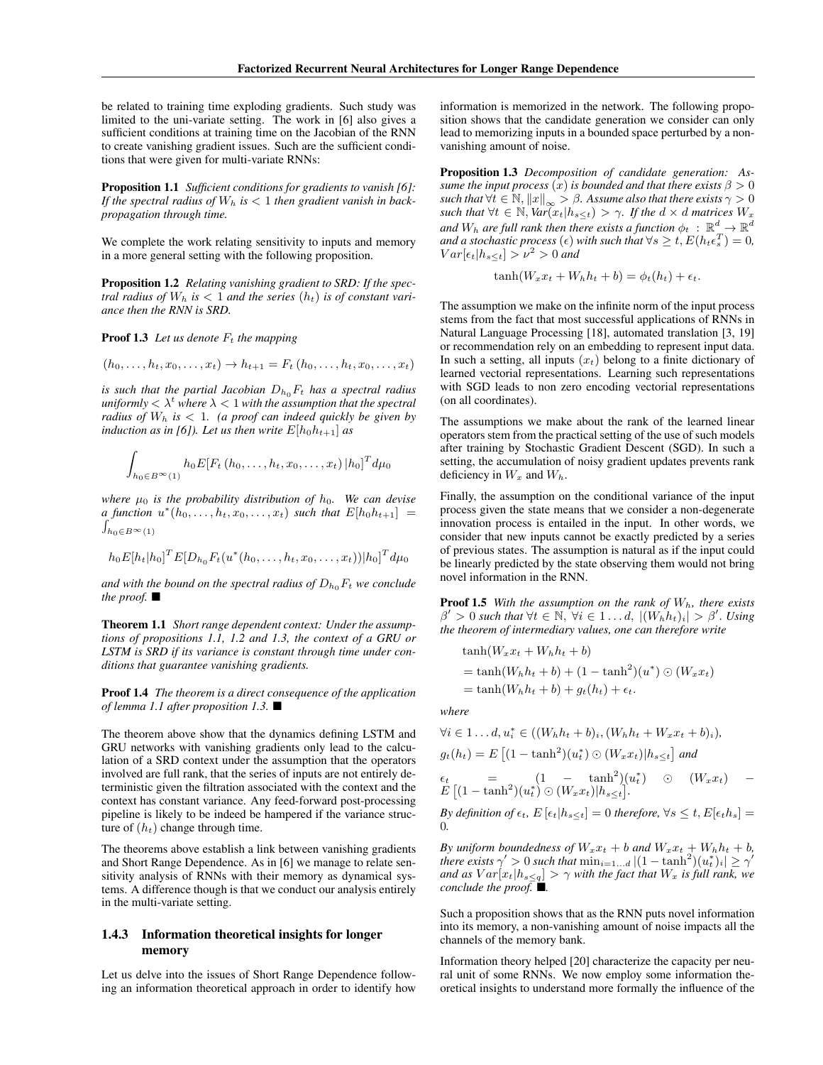be related to training time exploding gradients. Such study was limited to the uni-variate setting. The work in [6] also gives a sufficient conditions at training time on the Jacobian of the RNN to create vanishing gradient issues. Such are the sufficient conditions that were given for multi-variate RNNs:

Proposition 1.1 *Sufficient conditions for gradients to vanish [6]: If the spectral radius of*  $W_h$  *is*  $\lt$  1 *then gradient vanish in backpropagation through time.*

We complete the work relating sensitivity to inputs and memory in a more general setting with the following proposition.

Proposition 1.2 *Relating vanishing gradient to SRD: If the spectral radius of*  $W_h$  *is*  $\lt$  1 *and the series*  $(h_t)$  *is of constant variance then the RNN is SRD.*

**Proof 1.3** Let us denote  $F_t$  the mapping

$$
(h_0, \ldots, h_t, x_0, \ldots, x_t) \to h_{t+1} = F_t (h_0, \ldots, h_t, x_0, \ldots, x_t)
$$

*is such that the partial Jacobian*  $D_{h_0}F_t$  *has a spectral radius uniformly*  $\langle \lambda^t \rangle$  *where*  $\lambda \langle 1 \rangle$  *with the assumption that the spectral radius of*  $W_h$  *is*  $\lt$  1*. (a proof can indeed quickly be given by induction as in [6]). Let us then write*  $E[h_0h_{t+1}]$  *as* 

$$
\int_{h_0 \in B^{\infty}(1)} h_0 E[F_t(h_0, \ldots, h_t, x_0, \ldots, x_t) | h_0]^T d\mu_0
$$

*where*  $\mu_0$  *is the probability distribution of*  $h_0$ *. We can devise*  $a$  function  $u^*(h_0, \ldots, h_t, x_0, \ldots, x_t)$  such that  $E[h_0h_{t+1}] =$  $\int_{h_0 \in B^\infty(1)}$ 

$$
h_0E[h_t|h_0]^TE[D_{h_0}F_t(u^*(h_0,\ldots,h_t,x_0,\ldots,x_t))|h_0]^Td\mu_0
$$

*and with the bound on the spectral radius of*  $D_{h_0}F_t$  *we conclude the proof.*  $\blacksquare$ 

Theorem 1.1 *Short range dependent context: Under the assumptions of propositions 1.1, 1.2 and 1.3, the context of a GRU or LSTM is SRD if its variance is constant through time under conditions that guarantee vanishing gradients.*

Proof 1.4 *The theorem is a direct consequence of the application of lemma 1.1 after proposition 1.3.* ■

The theorem above show that the dynamics defining LSTM and GRU networks with vanishing gradients only lead to the calculation of a SRD context under the assumption that the operators involved are full rank, that the series of inputs are not entirely deterministic given the filtration associated with the context and the context has constant variance. Any feed-forward post-processing pipeline is likely to be indeed be hampered if the variance structure of  $(h_t)$  change through time.

The theorems above establish a link between vanishing gradients and Short Range Dependence. As in [6] we manage to relate sensitivity analysis of RNNs with their memory as dynamical systems. A difference though is that we conduct our analysis entirely in the multi-variate setting.

### 1.4.3 Information theoretical insights for longer memory

Let us delve into the issues of Short Range Dependence following an information theoretical approach in order to identify how

information is memorized in the network. The following proposition shows that the candidate generation we consider can only lead to memorizing inputs in a bounded space perturbed by a nonvanishing amount of noise.

Proposition 1.3 *Decomposition of candidate generation: Assume the input process*  $(x)$  *is bounded and that there exists*  $\beta > 0$ *such that*  $\forall t \in \mathbb{N}, ||x||_{\infty} > \beta$ . Assume also that there exists  $\gamma > 0$ *such that*  $\forall t \in \mathbb{N}$ ,  $\text{Var}(x_t | h_{s \leq t}) > \gamma$ . If the  $d \times d$  matrices  $W_x$ and  $W_h$  are full rank then there exists a function  $\phi_t : \mathbb{R}^d \to \mathbb{R}^d$ *and a stochastic process*  $(\epsilon)$  *with such that*  $\forall s \geq t$ ,  $E(h_t \epsilon_s^T) = 0$ ,  $Var[\epsilon_t | h_{s \le t}] > \nu^2 > 0$  *and* 

$$
\tanh(W_x x_t + W_h h_t + b) = \phi_t(h_t) + \epsilon_t.
$$

The assumption we make on the infinite norm of the input process stems from the fact that most successful applications of RNNs in Natural Language Processing [18], automated translation [3, 19] or recommendation rely on an embedding to represent input data. In such a setting, all inputs  $(x_t)$  belong to a finite dictionary of learned vectorial representations. Learning such representations with SGD leads to non zero encoding vectorial representations (on all coordinates).

The assumptions we make about the rank of the learned linear operators stem from the practical setting of the use of such models after training by Stochastic Gradient Descent (SGD). In such a setting, the accumulation of noisy gradient updates prevents rank deficiency in  $W_x$  and  $W_h$ .

Finally, the assumption on the conditional variance of the input process given the state means that we consider a non-degenerate innovation process is entailed in the input. In other words, we consider that new inputs cannot be exactly predicted by a series of previous states. The assumption is natural as if the input could be linearly predicted by the state observing them would not bring novel information in the RNN.

Proof 1.5 *With the assumption on the rank of Wh, there exists*  $\beta' > 0$  such that  $\forall t \in \mathbb{N}, \forall i \in 1 \ldots d, |(W_h h_t)_i| > \beta'.$  Using *the theorem of intermediary values, one can therefore write*

$$
\begin{aligned} \tanh(W_x x_t + W_h h_t + b) \\ &= \tanh(W_h h_t + b) + (1 - \tanh^2)(u^*) \odot (W_x x_t) \\ &= \tanh(W_h h_t + b) + g_t(h_t) + \epsilon_t. \end{aligned}
$$

*where*

0*.*

$$
\forall i \in 1...d, u_i^* \in ((W_h h_t + b)_i, (W_h h_t + W_x x_t + b)_i),
$$
  
\n
$$
g_t(h_t) = E \left[ (1 - \tanh^2)(u_t^*) \odot (W_x x_t) | h_{s \le t} \right] \text{ and}
$$
  
\n
$$
\epsilon_t = (1 - \tanh^2)(u_t^*) \odot (W_x x_t) | h_{s \le t}.
$$
  
\n
$$
E \left[ (1 - \tanh^2)(u_t^*) \odot (W_x x_t) | h_{s \le t} \right].
$$

*By definition of*  $\epsilon_t$ ,  $E\left[\epsilon_t | h_{s \leq t}\right] = 0$  *therefore*,  $\forall s \leq t$ ,  $E[\epsilon_t h_s] =$ 

*By uniform boundedness of*  $W_x x_t + b$  *and*  $W_x x_t + W_h h_t + b$ , *there exists*  $\gamma' > 0$  *such that*  $\min_{i=1...d} |(1 - \tanh^2)(u_i^*)_i| \geq \gamma'$ *and as*  $Var[x_t|h_{s\leq q}] > \gamma$  *with the fact that*  $W_x$  *is full rank, we conclude the proof.* ■.

Such a proposition shows that as the RNN puts novel information into its memory, a non-vanishing amount of noise impacts all the channels of the memory bank.

Information theory helped [20] characterize the capacity per neural unit of some RNNs. We now employ some information theoretical insights to understand more formally the influence of the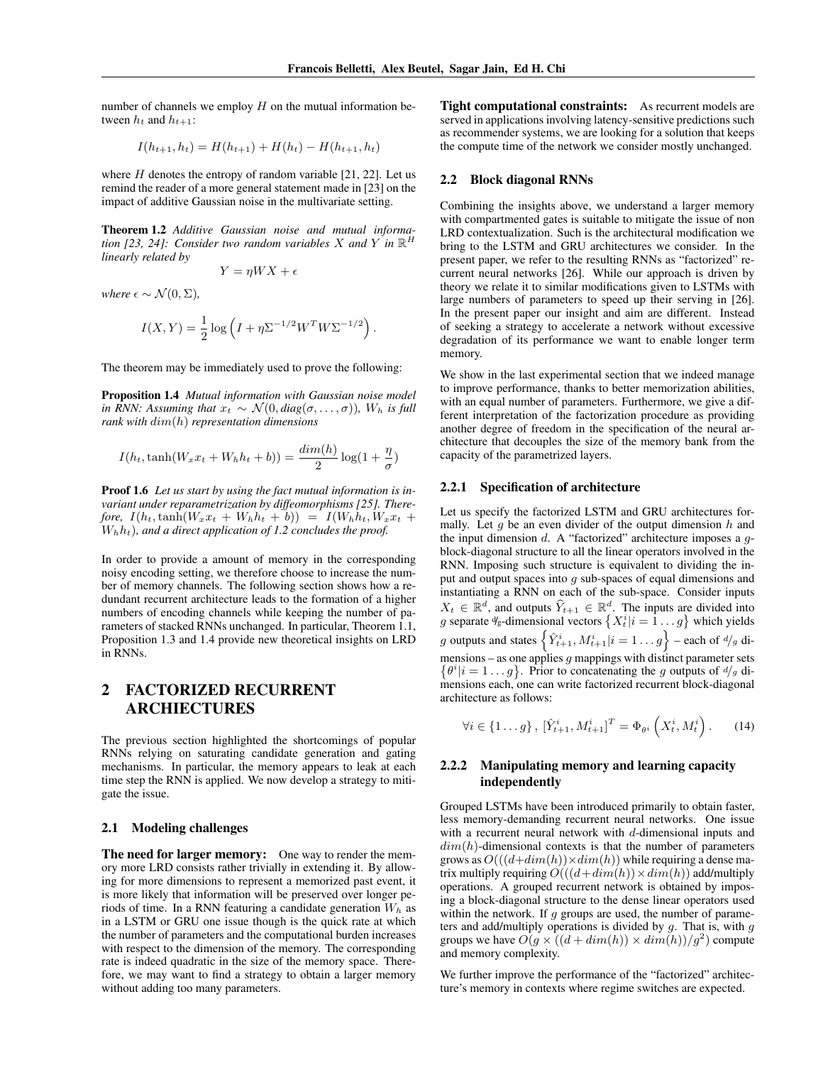number of channels we employ *H* on the mutual information between  $h_t$  and  $h_{t+1}$ :

$$
I(h_{t+1}, h_t) = H(h_{t+1}) + H(h_t) - H(h_{t+1}, h_t)
$$

where  $H$  denotes the entropy of random variable [21, 22]. Let us remind the reader of a more general statement made in [23] on the impact of additive Gaussian noise in the multivariate setting.

Theorem 1.2 *Additive Gaussian noise and mutual information* [23, 24]: Consider two random variables X and Y in  $\mathbb{R}^H$ *linearly related by*

$$
Y = \eta W X + \epsilon
$$

*where*  $\epsilon \sim \mathcal{N}(0, \Sigma)$ ,

$$
I(X,Y) = \frac{1}{2} \log \left( I + \eta \Sigma^{-1/2} W^T W \Sigma^{-1/2} \right).
$$

The theorem may be immediately used to prove the following:

Proposition 1.4 *Mutual information with Gaussian noise model in RNN: Assuming that*  $x_t \sim \mathcal{N}(0, diag(\sigma, \ldots, \sigma))$ *, W<sub>h</sub> is full rank with dim*(*h*) *representation dimensions*

$$
I(h_t, \tanh(W_x x_t + W_h h_t + b)) = \frac{dim(h)}{2} \log(1 + \frac{\eta}{\sigma})
$$

Proof 1.6 *Let us start by using the fact mutual information is invariant under reparametrization by diffeomorphisms [25]. There* $f$ *ore,*  $I(h_t, \tanh(W_x x_t + W_h h_t + b)) = I(W_h h_t, W_x x_t + b)$ *Whht*)*, and a direct application of 1.2 concludes the proof.*

In order to provide a amount of memory in the corresponding noisy encoding setting, we therefore choose to increase the number of memory channels. The following section shows how a redundant recurrent architecture leads to the formation of a higher numbers of encoding channels while keeping the number of parameters of stacked RNNs unchanged. In particular, Theorem 1.1, Proposition 1.3 and 1.4 provide new theoretical insights on LRD in RNNs.

# 2 FACTORIZED RECURRENT ARCHIECTURES

The previous section highlighted the shortcomings of popular RNNs relying on saturating candidate generation and gating mechanisms. In particular, the memory appears to leak at each time step the RNN is applied. We now develop a strategy to mitigate the issue.

### 2.1 Modeling challenges

**The need for larger memory:** One way to render the memory more LRD consists rather trivially in extending it. By allowing for more dimensions to represent a memorized past event, it is more likely that information will be preserved over longer periods of time. In a RNN featuring a candidate generation *W<sup>h</sup>* as in a LSTM or GRU one issue though is the quick rate at which the number of parameters and the computational burden increases with respect to the dimension of the memory. The corresponding rate is indeed quadratic in the size of the memory space. Therefore, we may want to find a strategy to obtain a larger memory without adding too many parameters.

Tight computational constraints: As recurrent models are served in applications involving latency-sensitive predictions such as recommender systems, we are looking for a solution that keeps the compute time of the network we consider mostly unchanged.

#### 2.2 Block diagonal RNNs

Combining the insights above, we understand a larger memory with compartmented gates is suitable to mitigate the issue of non LRD contextualization. Such is the architectural modification we bring to the LSTM and GRU architectures we consider. In the present paper, we refer to the resulting RNNs as "factorized" recurrent neural networks [26]. While our approach is driven by theory we relate it to similar modifications given to LSTMs with large numbers of parameters to speed up their serving in [26]. In the present paper our insight and aim are different. Instead of seeking a strategy to accelerate a network without excessive degradation of its performance we want to enable longer term memory.

We show in the last experimental section that we indeed manage to improve performance, thanks to better memorization abilities, with an equal number of parameters. Furthermore, we give a different interpretation of the factorization procedure as providing another degree of freedom in the specification of the neural architecture that decouples the size of the memory bank from the capacity of the parametrized layers.

#### 2.2.1 Specification of architecture

Let us specify the factorized LSTM and GRU architectures formally. Let *g* be an even divider of the output dimension *h* and the input dimension *d*. A "factorized" architecture imposes a *g*block-diagonal structure to all the linear operators involved in the RNN. Imposing such structure is equivalent to dividing the input and output spaces into *g* sub-spaces of equal dimensions and instantiating a RNN on each of the sub-space. Consider inputs  $X_t \in \mathbb{R}^d$ , and outputs  $\hat{Y}_{t+1} \in \mathbb{R}^d$ . The inputs are divided into *g* separate  $\psi$ <sub>g</sub>-dimensional vectors  $\{X_t^i | i = 1 \dots g\}$  which yields *g* outputs and states  $\left\{ \hat{Y}_{t+1}^i, M_{t+1}^i | i = 1 \dots g \right\}$  – each of  $d/g$  dimensions – as one applies *g* mappings with distinct parameter sets  $\{\theta^i | i = 1 \dots g\}$ . Prior to concatenating the *g* outputs of  $d/g$  dimensions each, one can write factorized recurrent block-diagonal architecture as follows:

$$
\forall i \in \{1...g\}, \ [\hat{Y}_{t+1}^i, M_{t+1}^i]^T = \Phi_{\theta^i} \left(X_t^i, M_t^i\right). \tag{14}
$$

## 2.2.2 Manipulating memory and learning capacity independently

Grouped LSTMs have been introduced primarily to obtain faster, less memory-demanding recurrent neural networks. One issue with a recurrent neural network with *d*-dimensional inputs and *dim*(*h*)-dimensional contexts is that the number of parameters grows as  $O(((d+dim(h)) \times dim(h))$  while requiring a dense matrix multiply requiring  $O(((d+dim(h)) \times dim(h))$  add/multiply operations. A grouped recurrent network is obtained by imposing a block-diagonal structure to the dense linear operators used within the network. If *g* groups are used, the number of parameters and add/multiply operations is divided by *g*. That is, with *g* groups we have  $O(g \times ((d + dim(h)) \times dim(h))/g^2)$  compute and memory complexity.

We further improve the performance of the "factorized" architecture's memory in contexts where regime switches are expected.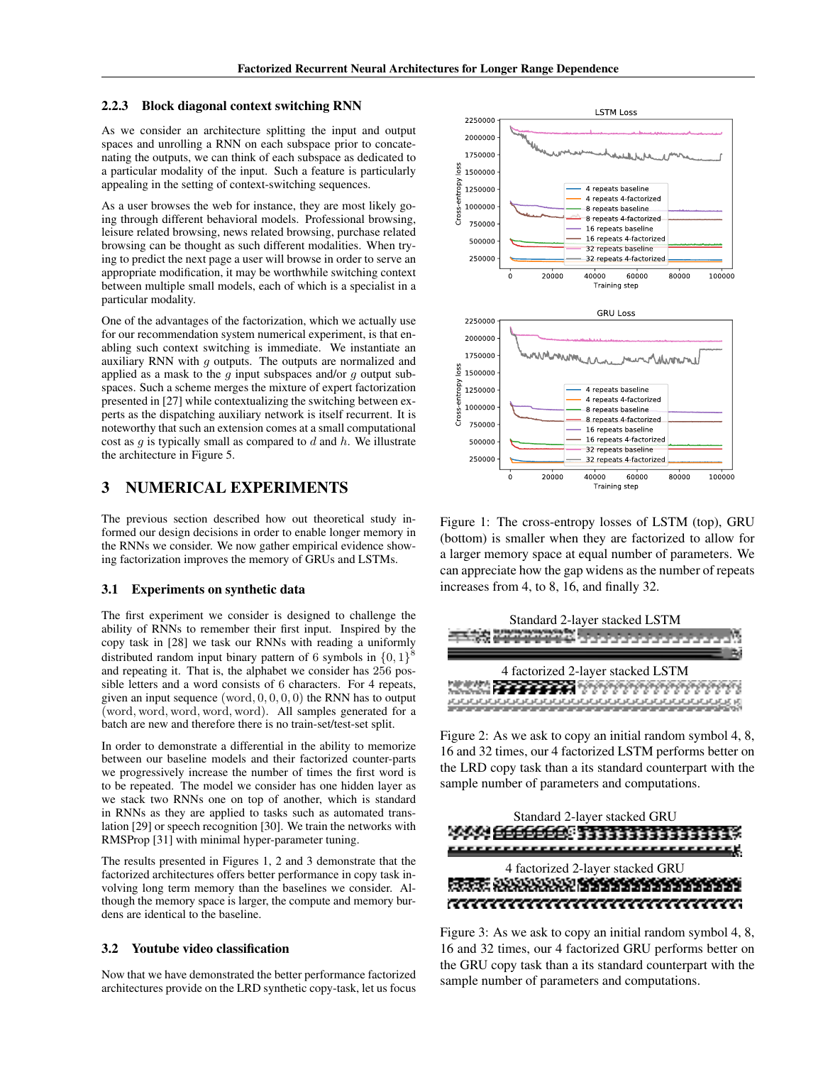#### 2.2.3 Block diagonal context switching RNN

As we consider an architecture splitting the input and output spaces and unrolling a RNN on each subspace prior to concatenating the outputs, we can think of each subspace as dedicated to a particular modality of the input. Such a feature is particularly appealing in the setting of context-switching sequences.

As a user browses the web for instance, they are most likely going through different behavioral models. Professional browsing, leisure related browsing, news related browsing, purchase related browsing can be thought as such different modalities. When trying to predict the next page a user will browse in order to serve an appropriate modification, it may be worthwhile switching context between multiple small models, each of which is a specialist in a particular modality.

One of the advantages of the factorization, which we actually use for our recommendation system numerical experiment, is that enabling such context switching is immediate. We instantiate an auxiliary RNN with *g* outputs. The outputs are normalized and applied as a mask to the *g* input subspaces and/or *g* output subspaces. Such a scheme merges the mixture of expert factorization presented in [27] while contextualizing the switching between experts as the dispatching auxiliary network is itself recurrent. It is noteworthy that such an extension comes at a small computational cost as *g* is typically small as compared to *d* and *h*. We illustrate the architecture in Figure 5.

## 3 NUMERICAL EXPERIMENTS

The previous section described how out theoretical study informed our design decisions in order to enable longer memory in the RNNs we consider. We now gather empirical evidence showing factorization improves the memory of GRUs and LSTMs.

#### 3.1 Experiments on synthetic data

The first experiment we consider is designed to challenge the ability of RNNs to remember their first input. Inspired by the copy task in [28] we task our RNNs with reading a uniformly distributed random input binary pattern of <sup>6</sup> symbols in *{*0*,* <sup>1</sup>*}*<sup>8</sup> and repeating it. That is, the alphabet we consider has 256 possible letters and a word consists of 6 characters. For 4 repeats, given an input sequence (word*,* 0*,* 0*,* 0*,* 0) the RNN has to output (word*,* word*,* word*,* word*,* word). All samples generated for a batch are new and therefore there is no train-set/test-set split.

In order to demonstrate a differential in the ability to memorize between our baseline models and their factorized counter-parts we progressively increase the number of times the first word is to be repeated. The model we consider has one hidden layer as we stack two RNNs one on top of another, which is standard in RNNs as they are applied to tasks such as automated translation [29] or speech recognition [30]. We train the networks with RMSProp [31] with minimal hyper-parameter tuning.

The results presented in Figures 1, 2 and 3 demonstrate that the factorized architectures offers better performance in copy task involving long term memory than the baselines we consider. Although the memory space is larger, the compute and memory burdens are identical to the baseline.

#### 3.2 Youtube video classification

Now that we have demonstrated the better performance factorized architectures provide on the LRD synthetic copy-task, let us focus



Figure 1: The cross-entropy losses of LSTM (top), GRU (bottom) is smaller when they are factorized to allow for a larger memory space at equal number of parameters. We can appreciate how the gap widens as the number of repeats increases from 4, to 8, 16, and finally 32.



Figure 2: As we ask to copy an initial random symbol 4, 8, 16 and 32 times, our 4 factorized LSTM performs better on the LRD copy task than a its standard counterpart with the sample number of parameters and computations.



Figure 3: As we ask to copy an initial random symbol 4, 8, 16 and 32 times, our 4 factorized GRU performs better on the GRU copy task than a its standard counterpart with the sample number of parameters and computations.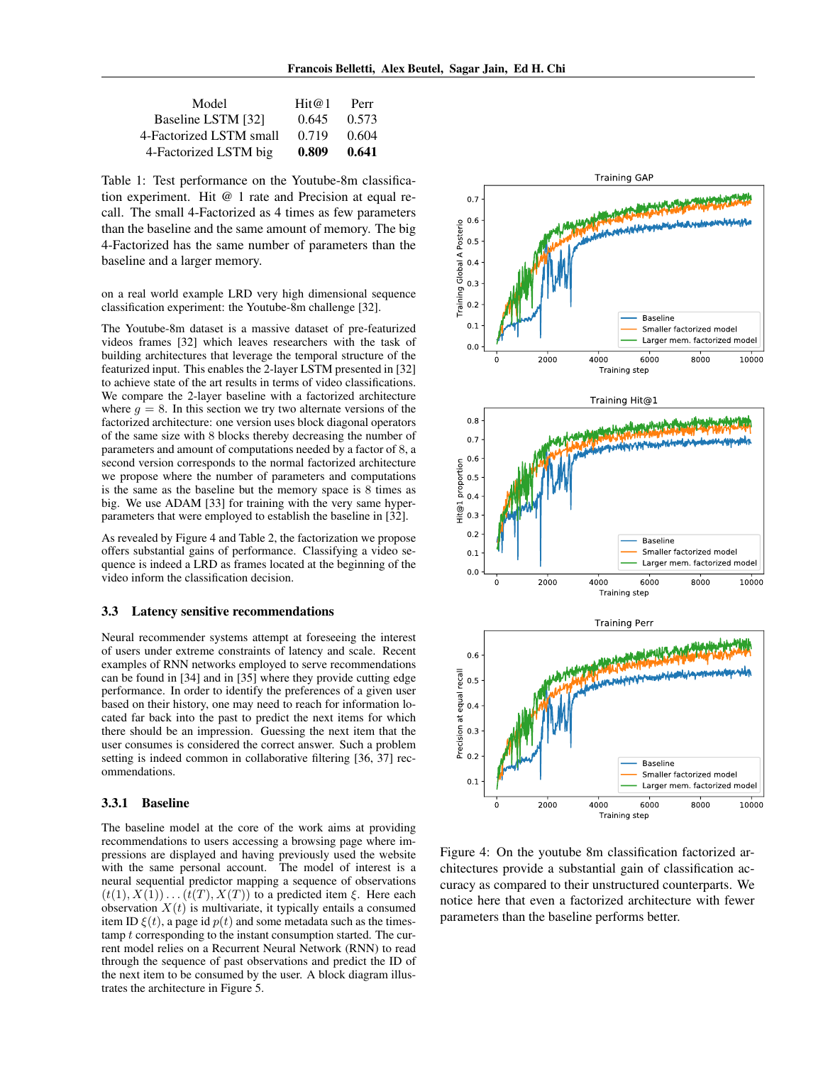| Model                   | Hit@1 | Perr  |
|-------------------------|-------|-------|
| Baseline LSTM [32]      | 0.645 | 0.573 |
| 4-Factorized LSTM small | 0.719 | 0.604 |
| 4-Factorized LSTM big   | 0.809 | 0.641 |

Table 1: Test performance on the Youtube-8m classification experiment. Hit @ 1 rate and Precision at equal recall. The small 4-Factorized as 4 times as few parameters than the baseline and the same amount of memory. The big 4-Factorized has the same number of parameters than the baseline and a larger memory.

on a real world example LRD very high dimensional sequence classification experiment: the Youtube-8m challenge [32].

The Youtube-8m dataset is a massive dataset of pre-featurized videos frames [32] which leaves researchers with the task of building architectures that leverage the temporal structure of the featurized input. This enables the 2-layer LSTM presented in [32] to achieve state of the art results in terms of video classifications. We compare the 2-layer baseline with a factorized architecture where  $q = 8$ . In this section we try two alternate versions of the factorized architecture: one version uses block diagonal operators of the same size with 8 blocks thereby decreasing the number of parameters and amount of computations needed by a factor of 8, a second version corresponds to the normal factorized architecture we propose where the number of parameters and computations is the same as the baseline but the memory space is 8 times as big. We use ADAM [33] for training with the very same hyperparameters that were employed to establish the baseline in [32].

As revealed by Figure 4 and Table 2, the factorization we propose offers substantial gains of performance. Classifying a video sequence is indeed a LRD as frames located at the beginning of the video inform the classification decision.

### 3.3 Latency sensitive recommendations

Neural recommender systems attempt at foreseeing the interest of users under extreme constraints of latency and scale. Recent examples of RNN networks employed to serve recommendations can be found in [34] and in [35] where they provide cutting edge performance. In order to identify the preferences of a given user based on their history, one may need to reach for information located far back into the past to predict the next items for which there should be an impression. Guessing the next item that the user consumes is considered the correct answer. Such a problem setting is indeed common in collaborative filtering [36, 37] recommendations.

#### 3.3.1 Baseline

The baseline model at the core of the work aims at providing recommendations to users accessing a browsing page where impressions are displayed and having previously used the website with the same personal account. The model of interest is a neural sequential predictor mapping a sequence of observations  $(t(1), X(1)) \ldots (t(T), X(T))$  to a predicted item  $\xi$ . Here each observation  $X(t)$  is multivariate, it typically entails a consumed item ID  $\xi(t)$ , a page id  $p(t)$  and some metadata such as the timestamp *t* corresponding to the instant consumption started. The current model relies on a Recurrent Neural Network (RNN) to read through the sequence of past observations and predict the ID of the next item to be consumed by the user. A block diagram illustrates the architecture in Figure 5.



Figure 4: On the youtube 8m classification factorized architectures provide a substantial gain of classification accuracy as compared to their unstructured counterparts. We notice here that even a factorized architecture with fewer parameters than the baseline performs better.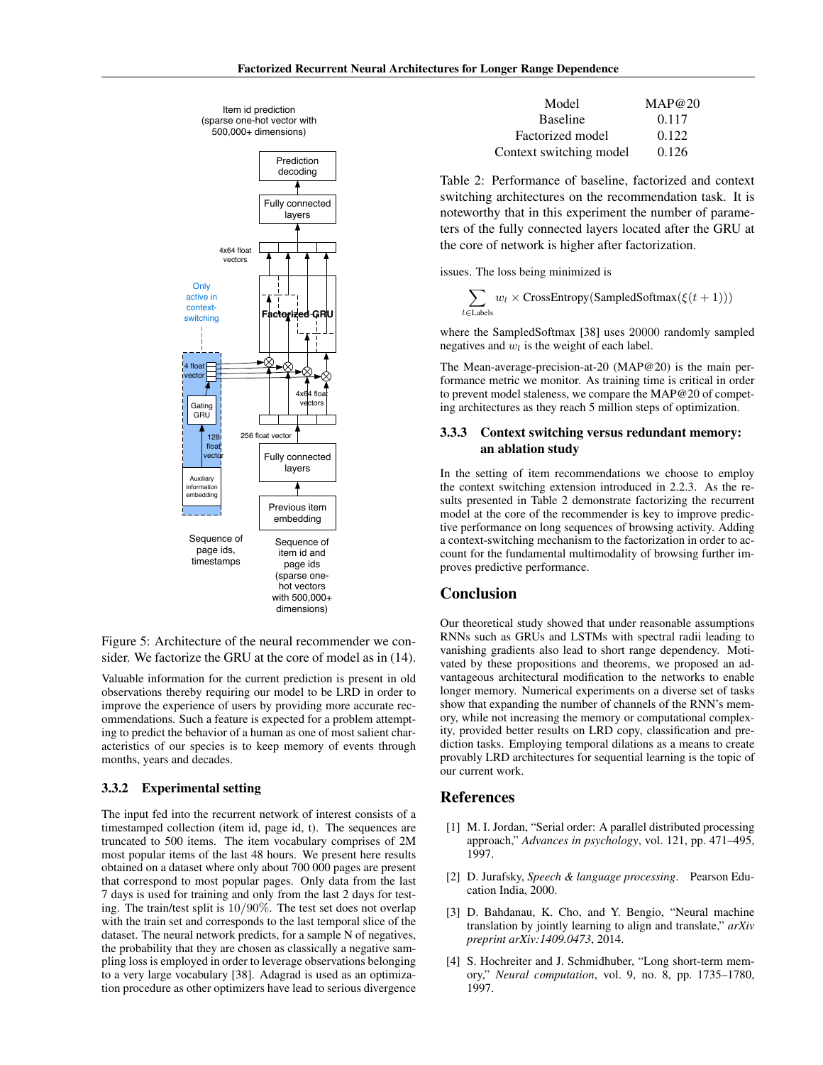



Figure 5: Architecture of the neural recommender we consider. We factorize the GRU at the core of model as in (14).

Valuable information for the current prediction is present in old observations thereby requiring our model to be LRD in order to improve the experience of users by providing more accurate recommendations. Such a feature is expected for a problem attempting to predict the behavior of a human as one of most salient characteristics of our species is to keep memory of events through months, years and decades.

#### 3.3.2 Experimental setting

The input fed into the recurrent network of interest consists of a timestamped collection (item id, page id, t). The sequences are truncated to 500 items. The item vocabulary comprises of 2M most popular items of the last 48 hours. We present here results obtained on a dataset where only about 700 000 pages are present that correspond to most popular pages. Only data from the last 7 days is used for training and only from the last 2 days for testing. The train/test split is 10*/*90%. The test set does not overlap with the train set and corresponds to the last temporal slice of the dataset. The neural network predicts, for a sample N of negatives, the probability that they are chosen as classically a negative sampling loss is employed in order to leverage observations belonging to a very large vocabulary [38]. Adagrad is used as an optimization procedure as other optimizers have lead to serious divergence

| Model                   | MAP@20 |
|-------------------------|--------|
| <b>Baseline</b>         | 0.117  |
| Factorized model        | 0.122  |
| Context switching model | 0.126  |

Table 2: Performance of baseline, factorized and context switching architectures on the recommendation task. It is noteworthy that in this experiment the number of parameters of the fully connected layers located after the GRU at the core of network is higher after factorization.

issues. The loss being minimized is

$$
\sum_{l \in \text{Labels}} w_l \times \text{CrossEntropy}(\text{SampledSoftmax}(\xi(t+1)))
$$

where the SampledSoftmax [38] uses 20000 randomly sampled negatives and  $w_l$  is the weight of each label.

The Mean-average-precision-at-20 (MAP@20) is the main performance metric we monitor. As training time is critical in order to prevent model staleness, we compare the MAP@20 of competing architectures as they reach 5 million steps of optimization.

## 3.3.3 Context switching versus redundant memory: an ablation study

In the setting of item recommendations we choose to employ the context switching extension introduced in 2.2.3. As the results presented in Table 2 demonstrate factorizing the recurrent model at the core of the recommender is key to improve predictive performance on long sequences of browsing activity. Adding a context-switching mechanism to the factorization in order to account for the fundamental multimodality of browsing further improves predictive performance.

## Conclusion

Our theoretical study showed that under reasonable assumptions RNNs such as GRUs and LSTMs with spectral radii leading to vanishing gradients also lead to short range dependency. Motivated by these propositions and theorems, we proposed an advantageous architectural modification to the networks to enable longer memory. Numerical experiments on a diverse set of tasks show that expanding the number of channels of the RNN's memory, while not increasing the memory or computational complexity, provided better results on LRD copy, classification and prediction tasks. Employing temporal dilations as a means to create provably LRD architectures for sequential learning is the topic of our current work.

## References

- [1] M. I. Jordan, "Serial order: A parallel distributed processing approach," *Advances in psychology*, vol. 121, pp. 471–495, 1997.
- [2] D. Jurafsky, *Speech & language processing*. Pearson Education India, 2000.
- [3] D. Bahdanau, K. Cho, and Y. Bengio, "Neural machine translation by jointly learning to align and translate," *arXiv preprint arXiv:1409.0473*, 2014.
- [4] S. Hochreiter and J. Schmidhuber, "Long short-term memory," *Neural computation*, vol. 9, no. 8, pp. 1735–1780, 1997.